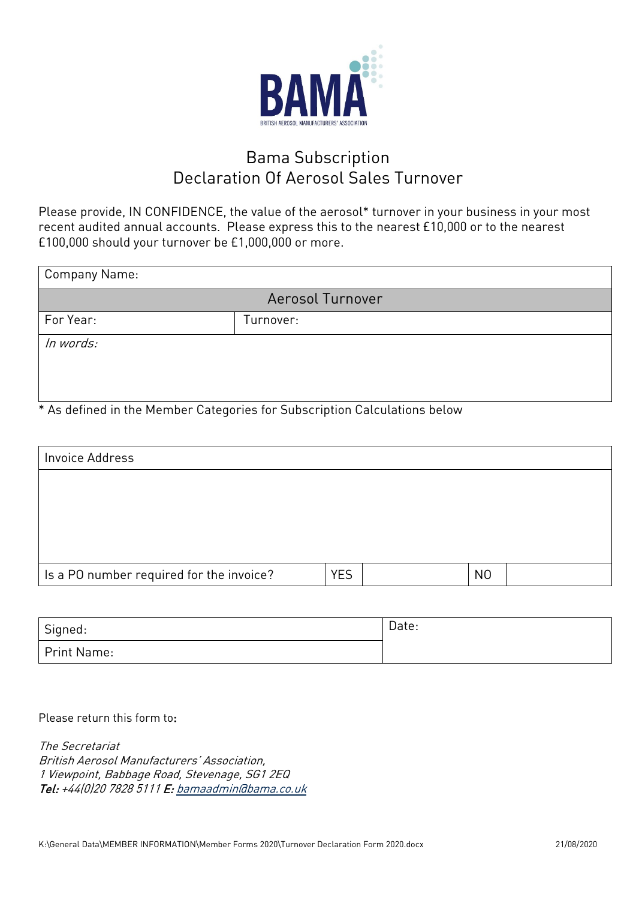

## Bama Subscription Declaration Of Aerosol Sales Turnover

Please provide, IN CONFIDENCE, the value of the aerosol\* turnover in your business in your most recent audited annual accounts. Please express this to the nearest £10,000 or to the nearest £100,000 should your turnover be £1,000,000 or more.

| <b>Company Name:</b>    |           |  |  |  |
|-------------------------|-----------|--|--|--|
| <b>Aerosol Turnover</b> |           |  |  |  |
| For Year:               | Turnover: |  |  |  |
| In words:               |           |  |  |  |
|                         |           |  |  |  |
|                         |           |  |  |  |

\* As defined in the Member Categories for Subscription Calculations below

| Invoice Address                          |            |                |
|------------------------------------------|------------|----------------|
|                                          |            |                |
|                                          |            |                |
|                                          |            |                |
|                                          |            |                |
| Is a PO number required for the invoice? | <b>YES</b> | N <sub>0</sub> |

| Signed:     | Date: |
|-------------|-------|
| Print Name: |       |

Please return this form to:

The Secretariat British Aerosol Manufacturers' Association, 1 Viewpoint, Babbage Road, Stevenage, SG1 2EQ Tel: +44(0)20 7828 5111 E: [bamaadmin@bama.co.uk](mailto:bamaadmin@bama.co.uk)